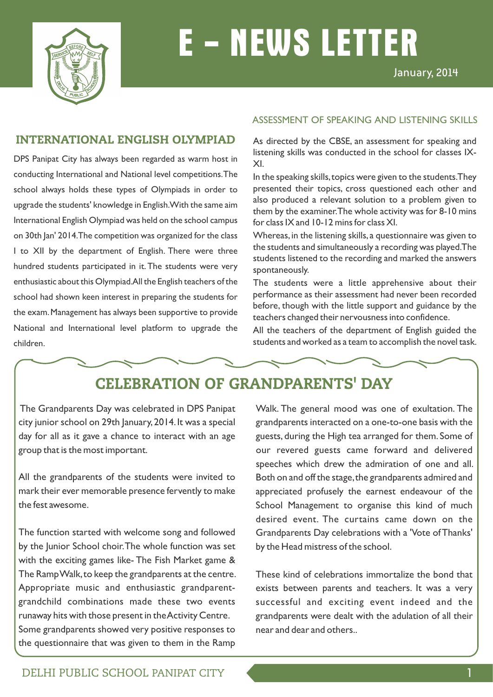

# **E - NEWS LETTER**

### INTERNATIONAL ENGLISH OLYMPIAD

DPS Panipat City has always been regarded as warm host in conducting International and National level competitions.The school always holds these types of Olympiads in order to upgrade the students' knowledge in English.With the same aim International English Olympiad was held on the school campus on 30th Jan' 2014.The competition was organized for the class I to XII by the department of English. There were three hundred students participated in it.The students were very enthusiastic about this Olympiad.All the English teachers of the school had shown keen interest in preparing the students for the exam.Management has always been supportive to provide National and International level platform to upgrade the children.

#### ASSESSMENT OF SPEAKING AND LISTENING SKILLS

As directed by the CBSE, an assessment for speaking and listening skills was conducted in the school for classes IX-XI.

In the speaking skills, topics were given to the students. They presented their topics, cross questioned each other and also produced a relevant solution to a problem given to them by the examiner.The whole activity was for 8-10 mins for class IX and 10-12 mins for class XI.

Whereas, in the listening skills, a questionnaire was given to the students and simultaneously a recording was played.The students listened to the recording and marked the answers spontaneously.

The students were a little apprehensive about their performance as their assessment had never been recorded before, though with the little support and guidance by the teachers changed their nervousness into confidence.

All the teachers of the department of English guided the students and worked as a team to accomplish the novel task.

### CELEBRATION OF GRANDPARENTS' DAY

The Grandparents Day was celebrated in DPS Panipat city junior school on 29th January,2014.It was a special day for all as it gave a chance to interact with an age group that is the most important.

All the grandparents of the students were invited to mark their ever memorable presence fervently to make the fest awesome.

The function started with welcome song and followed by the Junior School choir.The whole function was set with the exciting games like- The Fish Market game & The Ramp Walk,to keep the grandparents at the centre. Appropriate music and enthusiastic grandparentgrandchild combinations made these two events runaway hits with those present in the Activity Centre. Some grandparents showed very positive responses to the questionnaire that was given to them in the Ramp

Walk. The general mood was one of exultation. The grandparents interacted on a one-to-one basis with the guests, during the High tea arranged for them. Some of our revered guests came forward and delivered speeches which drew the admiration of one and all. Both on and off the stage,the grandparents admired and appreciated profusely the earnest endeavour of the School Management to organise this kind of much desired event. The curtains came down on the Grandparents Day celebrations with a 'Vote of Thanks' by the Head mistress of the school.

These kind of celebrations immortalize the bond that exists between parents and teachers. It was a very successful and exciting event indeed and the grandparents were dealt with the adulation of all their near and dear and others..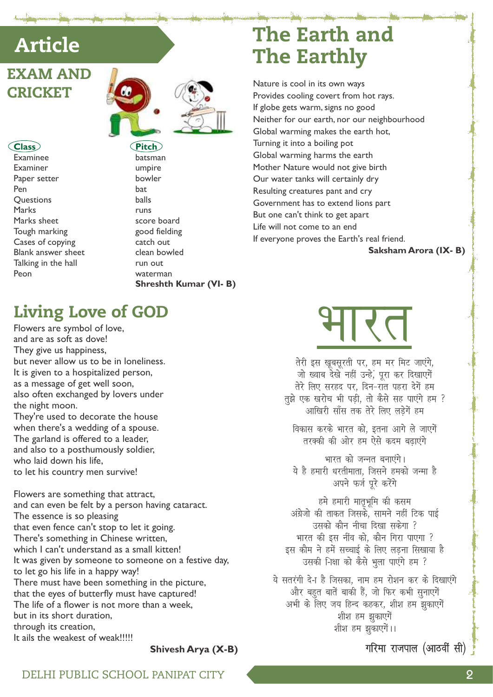## **Article**

## **EXAM AND CRICKET**

#### Class

Examinee Examiner Paper setter Pen **Ouestions** Marks Marks sheet Tough marking Cases of copying Blank answer sheet Talking in the hall Peon



 $Pitch$ batsman umpire bowler hat balls runs score board good fielding catch out clean bowled run out waterman **Shreshth Kumar (VI-B)** 

## **Living Love of GOD**

Flowers are symbol of love, and are as soft as dove! They give us happiness, but never allow us to be in loneliness. It is given to a hospitalized person, as a message of get well soon, also often exchanged by lovers under the night moon. They're used to decorate the house when there's a wedding of a spouse. The garland is offered to a leader, and also to a posthumously soldier, who laid down his life.

to let his country men survive!

Flowers are something that attract, and can even be felt by a person having cataract. The essence is so pleasing that even fence can't stop to let it going. There's something in Chinese written, which I can't understand as a small kitten! It was given by someone to someone on a festive day, to let go his life in a happy way! There must have been something in the picture, that the eyes of butterfly must have captured! The life of a flower is not more than a week. but in its short duration. through its creation, It ails the weakest of weak!!!!!

Shivesh Arya (X-B)

## **The Earth and The Earthly**

Nature is cool in its own ways Provides cooling covert from hot rays. If globe gets warm, signs no good Neither for our earth, nor our neighbourhood Global warming makes the earth hot, Turning it into a boiling pot Global warming harms the earth Mother Nature would not give birth Our water tanks will certainly dry Resulting creatures pant and cry Government has to extend lions part But one can't think to get apart Life will not come to an end If everyone proves the Earth's real friend.

Saksham Arora (IX-B)

# रत

तेरी इस खूबसूरती पर, हम मर मिट जाएंगे, जो ख्वाब देखे नहीं उन्हें, पूरा कर दिखाएगें तेरे लिए सरहद पर. दिन-रात पहरा देगें हम तुझे एक खरोच भी पडी, तो कैसे सह पाएंगे हम ? आखिरी साँस तक तेरे लिए लडेगें हम

विकास करके भारत को, इतना आगे ले जाएगें तरक्की की ओर हम ऐसे कदम बढाएंगे

भारत को जन्नत बनाएंगे। ये है हमारी धरतीमाता. जिसने हमको जन्मा है अपने फर्ज पूरे करेंगे

हमे हमारी मातृभूमि की कसम अंग्रेजो की ताकत जिसके. सामने नहीं टिक पाई उसको कौन नीचा दिखा सकेगा ? भारत की इस नींव को, कौन गिरा पाएगा ? इस कौम ने हमें सच्चाई के लिए लडना सिखाया है उसकी -िक्षा को कैसे भूला पाएंगे हम ?

ये सतरंगी दे-ा है जिसका, नाम हम रोशन कर के दिखाएंगे .<br>और बहुत बातें बाकी हैं, जो फिर कभी सुनाएगें अभी के लिए जय हिन्द कहकर, शीश हम झुकाएगें शीश हम झुकाएगें शीश हम झुकाएगें।।

गरिमा राजपाल (आठवीं सी)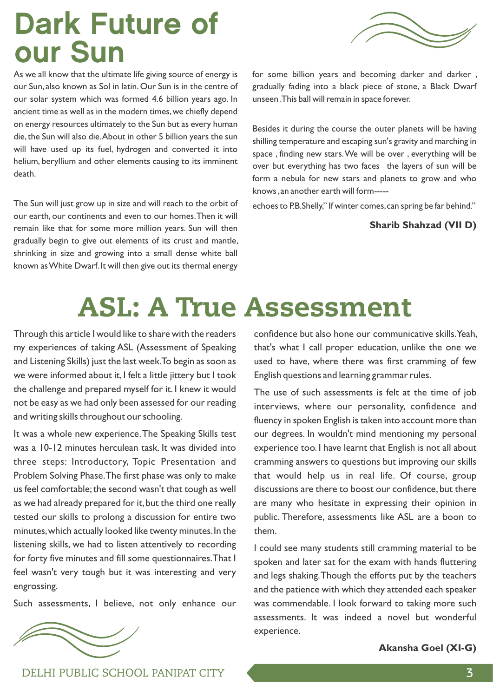# Dark Future of our Sun

As we all know that the ultimate life giving source of energy is our Sun, also known as Sol in latin. Our Sun is in the centre of our solar system which was formed 4.6 billion years ago. In ancient time as well as in the modern times, we chiefly depend on energy resources ultimately to the Sun but as every human die,the Sun will also die.About in other 5 billion years the sun will have used up its fuel, hydrogen and converted it into helium, beryllium and other elements causing to its imminent death.

The Sun will just grow up in size and will reach to the orbit of our earth, our continents and even to our homes.Then it will remain like that for some more million years. Sun will then gradually begin to give out elements of its crust and mantle, shrinking in size and growing into a small dense white ball known as White Dwarf.It will then give out its thermal energy

for some billion years and becoming darker and darker , gradually fading into a black piece of stone, a Black Dwarf unseen .This ball will remain in space forever.

Besides it during the course the outer planets will be having shilling temperature and escaping sun's gravity and marching in space , finding new stars.We will be over , everything will be over but everything has two faces the layers of sun will be form a nebula for new stars and planets to grow and who knows ,an another earth will form-----

echoes to P.B.Shelly," If winter comes, can spring be far behind."

#### **Sharib Shahzad (VII D)**

# ASL: A True Assessment

Through this article I would like to share with the readers my experiences of taking ASL (Assessment of Speaking and Listening Skills) just the last week.To begin as soon as we were informed about it, I felt a little jittery but I took the challenge and prepared myself for it. I knew it would not be easy as we had only been assessed for our reading and writing skills throughout our schooling.

It was a whole new experience.The Speaking Skills test was a 10-12 minutes herculean task. It was divided into three steps: Introductory, Topic Presentation and Problem Solving Phase.The first phase was only to make us feel comfortable; the second wasn't that tough as well as we had already prepared for it, but the third one really tested our skills to prolong a discussion for entire two minutes,which actually looked like twenty minutes.In the listening skills, we had to listen attentively to recording for forty five minutes and fill some questionnaires.That I feel wasn't very tough but it was interesting and very engrossing.

Such assessments, I believe, not only enhance our

confidence but also hone our communicative skills.Yeah, that's what I call proper education, unlike the one we used to have, where there was first cramming of few English questions and learning grammar rules.

The use of such assessments is felt at the time of job interviews, where our personality, confidence and fluency in spoken English is taken into account more than our degrees. In wouldn't mind mentioning my personal experience too. I have learnt that English is not all about cramming answers to questions but improving our skills that would help us in real life. Of course, group discussions are there to boost our confidence, but there are many who hesitate in expressing their opinion in public. Therefore, assessments like ASL are a boon to them.

I could see many students still cramming material to be spoken and later sat for the exam with hands fluttering and legs shaking.Though the efforts put by the teachers and the patience with which they attended each speaker was commendable. I look forward to taking more such assessments. It was indeed a novel but wonderful experience.

**Akansha Goel (XI-G)**



DELHI PUBLIC SCHOOL PANIPAT CITY 3